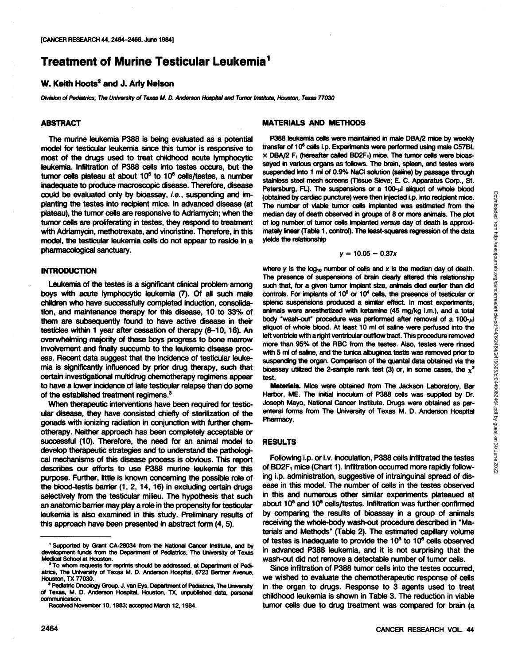# **Treatment of Murine Testicular Leukemia1**

## **W. Keith Hoots2 and J. Arly Nelson**

Division of Pediatrics, The University of Texas M. D. Anderson Hospital and Tumor Institute, Houston, Texas 77030

### **ABSTRACT**

The murine leukemia P388 is being evaluated as a potential model for testicular leukemia since this tumor is responsive to most of the drugs used to treat childhood acute lymphocytic leukemia. Infiltration of P388 cells into testes occurs, but the tumor cells plateau at about  $10<sup>5</sup>$  to  $10<sup>6</sup>$  cells/testes, a number inadequate to produce macroscopic disease. Therefore, disease could be evaluated only by bioassay, i.e., suspending and im planting the testes into recipient mice. In advanced disease (at plateau), the tumor cells are responsive to Adriamycin; when the tumor cells are proliferating in testes, they respond to treatment with Adriamycin, methotrexate, and vincristine. Therefore, in this model, the testicular leukemia cells do not appear to reside in a pharmacological sanctuary.

### **INTRODUCTION**

Leukemia of the testes is a significant clinical problem among boys with acute lymphocytic leukemia (7). Of all such male children who have successfully completed induction, consolida tion, and maintenance therapy for this disease, 10 to 33% of them are subsequently found to have active disease in their testicles within 1 year after cessation of therapy (8-10, 16). An overwhelming majority of these boys progress to bone marrow involvement and finally succumb to the leukemic disease proc ess. Recent data suggest that the incidence of testicular leuke mia is significantly influenced by prior drug therapy, such that certain investigational multidrug chemotherapy regimens appear to have a lower incidence of late testicular relapse than do some of the established treatment regimens.<sup>3</sup>

When therapeutic interventions have been required for testic ular disease, they have consisted chiefly of sterilization of the gonads with ionizing radiation in conjunction with further chem otherapy. Neither approach has been completely acceptable or successful (10). Therefore, the need for an animal model to develop therapeutic strategies and to understand the pathologi cal mechanisms of this disease process is obvious. This report describes our efforts to use P388 murine leukemia for this purpose. Further, little is known concerning the possible role of the blood-testis barrier (1, 2, 14, 16) in excluding certain drugs selectively from the testicular milieu. The hypothesis that such an anatomic barrier may play a role in the propensity for testicular leukemia is also examined in this study. Preliminary results of this approach have been presented in abstract form (4, 5).

### **MATERIALS AND METHODS**

P388 leukemia cells were maintained in male DBA/2 mice by weekly transfer of 10<sup>6</sup> cells i.p. Experiments were performed using male C57BL  $\times$  DBA/2 F<sub>1</sub> (hereafter called BD2F<sub>1</sub>) mice. The tumor cells were bioassayed in various organs as follows. The brain, spleen, and testes were suspended into 1 ml of 0.9% NaCI solution (saline) by passage through stainless steel mesh screens (Tissue Sieve; E. C. Apparatus Corp., St. (obtained by cardiac puncture) were then injected i.p. into recipient mice. The number of viable tumor cells implanted was estimated from the median day of death observed in groups of 8 or more animals. The plot of tog number of tumor cells implanted versus day of death is approxi mately linear (Table 1, control). The least-squares regression of the data yields the relationship

$$
y = 10.05 - 0.37x
$$

Petersburg, FL). The suspensions or a 100- $\mu$ l aliquot of whole blood<br>(obtained by cardies puncture) were then injected i.p. into recipient mice.<br>
The number of value tumor cells implanted was estimated from the<br>
median where y is the  $log_{10}$  number of cells and x is the median day of death. The presence of suspensions of brain clearly altered this relationship such that, for a given tumor implant size, animals died earlier than did controls. For implants of  $10<sup>6</sup>$  or  $10<sup>4</sup>$  cells, the presence of testicular or splenic suspensions produced a similar effect. In most experiments, animals were anesthetized with ketamine (45 mg/kg i.m.), and a total body "wash-out" procedure was performed after removal of a  $100-\mu$ I aliquot of whole blood. At least 10 ml of saline were perfused into the left ventricle with a right ventricular outflow tract. This procedure removed more than 95% of the RBC from the testes. Also, testes were rinsed with 5 ml of saline, and the tunica albuginea testis was removed prior to suspending the organ. Comparison of the quantal data obtained via the bioassay utilized the 2-sample rank test (3) or, in some cases, the  $\chi^2$ test.

**Materials. Mice were obtained from The Jackson Laboratory, Bar** Harbor, ME. The initial inoculum of P388 cells was supplied by Dr. Joseph Mayo, National Cancer Institute. Drugs were obtained as par enteral forms from The University of Texas M. D. Anderson Hospital Pharmacy.

### **RESULTS**

Following i.p. or i.v. inoculation, P388 cells infiltrated the testes  $B$  BD2F<sub>1</sub> mice (Chart 1). Infiltration occurred more rapidly followof BD2F<sub>1</sub> mice (Chart 1). Infiltration occurred more rapidly following i.p. administration, suggestive of intrainguinal spread of dis ease in this model. The number of cells in the testes observed in this and numerous other similar experiments plateaued at about 105 and 106 cells/testes. Infiltration was further confirmed by comparing the results of bioassay in a group of animals receiving the whole-body wash-out procedure described in "Ma terials and Methods" (Table 2). The estimated capillary volume of testes is inadequate to provide the  $10<sup>5</sup>$  to  $10<sup>6</sup>$  cells observed in advanced P388 leukemia, and it is not surprising that the wash-out did not remove a detectable number of tumor cells.

Since infiltration of P388 tumor cells into the testes occurred, we wished to evaluate the chemotherapeutic response of cells in the organ to drugs. Response to 3 agents used to treat childhood leukemia is shown in Table 3. The reduction in viable tumor cells due to drug treatment was compared for brain (a

<sup>&</sup>lt;sup>1</sup> Supported by Grant CA-28034 from the National Cancer Institute, and by development funds from the Department of Pediatrics, The University of Texas Medical School at Houston.

<sup>2</sup>To whom requests for reprints should be addressed, at Department of Pedi atrics, The University of Texas M. D. Anderson Hospital, 6723 Bertner Avenue, Houston, TX 77030.

<sup>3</sup> Pediatrie Oncology Group, J. van Eys, Department of Pediatrics, The University of Texas, M. D. Anderson Hospital, Houston, TX, unpublished data, personal communication.

Received November 10,1983; accepted March 12,1984.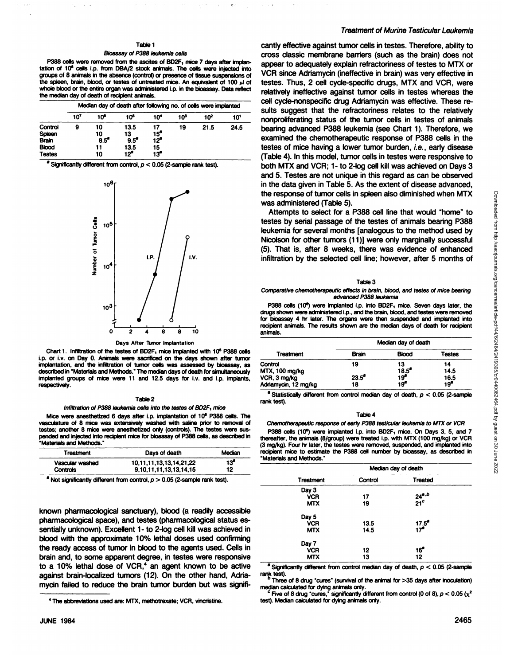### Table 1

### Bioassay of P388 leukemia cells

P388 cells were removed from the ascites of BD2F, mice 7 days after implantation of 10<sup>\*</sup> cells i.p. from DBA/2 stock animals. The cells were injected into groups of 8 animals in the absence (control) or presence of tissue suspensions of the spleen, brain, blood, or testes of untreated mice. An equivalent of  $100 \mu l$  of whole blood or the entire organ was administered i.p. in the bioassay. Data reflect the median day of death of recipient animals.

|                                                                    | Median day of death after following no. of cells were implanted |                                       |                                            |                         |                 |                 |      |
|--------------------------------------------------------------------|-----------------------------------------------------------------|---------------------------------------|--------------------------------------------|-------------------------|-----------------|-----------------|------|
|                                                                    | 10'                                                             | 10°                                   | 10ჼ                                        | 10*                     | 10 <sup>3</sup> | 10 <sup>2</sup> | 10'  |
| Control<br>Spleen<br><b>Brain</b><br><b>Blood</b><br><b>Testes</b> | 9                                                               | 10<br>10<br>$8.5^{\circ}$<br>11<br>10 | 13.5<br>13<br>$9.5^{\circ}$<br>13.5<br>12ª | 15°<br>12ª<br>15<br>13° | 19              | 21.5            | 24.5 |

' Significantly different from control, p < 0.05 (2-sampte rank test).



#### Days After Tumor Implantation

Chart 1. Infiltration of the testes of BD2F<sub>1</sub> mice implanted with 10<sup>6</sup> P388 cells i.p. or i.v. on Day 0. Animals were sacrificed on the days shown after tumor implantation, and the infiltration of tumor cells was assessed by bioassay, as described in "Materials and Methods.' The median days of death forsimultaneously implanted groups of mice were 11 and 12.5 days for i.v. and i.p. implants, respectively.

#### Table 2

Infiltration of P388 leukemia cells into the testes of BD2F, mice

Mice were anesthetized 6 days after i.p. implantation of 10\* P388 cells. The vasculature of 8 mice was extensively washed with saline prior to removal of testes; another 8 mice were anesthetized only (controls). The testes were sus pended and injected into recipient mice for bioassay of P388 cells, as described in •Materials and Methods."

| Treatment       | Days of death                  | Median |
|-----------------|--------------------------------|--------|
| Vascular washed | 10, 11, 11, 13, 13, 14, 21, 22 | 13ª    |
| <b>Controls</b> | 9.10.11.11.13.13.14.15         | 12     |

Not significantly different from control,  $p > 0.05$  (2-sample rank test).

known pharmacological sanctuary), blood (a readily accessible pharmacological space), and testes (pharmacological status es sentially unknown). Excellent 1- to 2-log cell kill was achieved in blood with the approximate 10% lethal doses used confirming the ready access of tumor in blood to the agents used. Cells in brain and, to some apparent degree, in testes were responsive to a 10% lethal dose of VCR, $4$  an agent known to be active against brain-localized tumors (12). On the other hand, Adriamycin failed to reduce the brain tumor burden but was signifi

### Treatment of Murine Testicular Leukemia

cantly effective against tumor cells in testes. Therefore, ability to cross classic membrane barriers (such as the brain) does not appear to adequately explain refractoriness of testes to MIX or VCR since Adriamycin (ineffective in brain) was very effective in testes. Thus, 2 cell cycle-specific drugs, MTX and VCR, were relatively ineffective against tumor cells in testes whereas the cell cycle-nonspecific drug Adriamycin was effective. These re sults suggest that the refractoriness relates to the relatively nonproliferating status of the tumor cells in testes of animals bearing advanced P388 leukemia (see Chart 1). Therefore, we examined the chemotherapeutic response of P388 cells in the testes of mice having a lower tumor burden, i.e., early disease (Table 4). In this model, tumor cells in testes were responsive to both MTX and VCR; 1- to 2-log cell kill was achieved on Days 3 and 5. Testes are not unique in this regard as can be observed in the data given in Table 5. As the extent of disease advanced,

the response of tumor cells in spleen also diminished when MTX<br>
was administred (Table 5).<br>
Attempts to select for a P388 cell line that would "home" to<br>
testes by serial passage of the testes of animals bearing P388<br>
fel was administered (Table 5).<br>Attempts to select for a P388 cell line that would "home" to testes by serial passage of the testes of animals bearing P388 leukemia for several months [analogous to the method used by Nicolson for other tumors (11)] were only marginally successful (5). That is, after 8 weeks, there was evidence of enhanced infiltration by the selected cell line; however, after 5 months of

#### Table 3

#### Comparative chemotherapeutic effects in brain, blood, and testes of mice bearing advanced P388 leukemia

P388 cells (10<sup>e</sup>) were implanted i.p. into BD2F<sub>1</sub> mice. Seven days later, the drugs shown were administered i.p., and the brain, blood, and testes were removed for bioassay 4 hr later. The organs were then suspended and implanted into recipient animals. The results shown are the median days of death for recipient animals.

|                      |                | Median day of death |                 |
|----------------------|----------------|---------------------|-----------------|
| Treatment            | Brain          | <b>Blood</b>        | Testes          |
| Control              | 19             | 13                  | 14              |
| MTX, 100 mg/kg       |                | $18.5^{\circ}$      | 14.5            |
| VCR, 3 mg/kg         | $23.5^{\circ}$ | 19 <sup>o</sup>     | 16.5            |
| Adriamycin, 12 mg/kg | 18             | 19'                 | 19 <sup>8</sup> |

<sup>a</sup> Statistically different from control median day of death,  $p < 0.05$  (2-sample rank test).

#### Table 4

Chemotherapeutic response of early P388 testicular leukemia to MTX or VCR P388 cells (10<sup>6</sup>) were implanted i.p. into BD2F<sub>1</sub> mice. On Days 3, 5, and 7 thereafter, the animals (8/group) were treated i.p. with MTX (100 mg/kg) or VCR

(3 mg/kg). Four hr later, the testes were removed, suspended, and implanted into recipient mice to estimate the P388 cell number by bioassay, as described in "Materials and Methods."

|                  | Median day of death |                                |  |
|------------------|---------------------|--------------------------------|--|
| <b>Treatment</b> | Control             | Treated                        |  |
| Day 3            |                     |                                |  |
| <b>VCR</b>       | 17                  |                                |  |
| <b>MTX</b>       | 19                  | $\frac{24^{a,b}}{21^c}$        |  |
| Day 5            |                     |                                |  |
| <b>VCR</b>       | 13.5                | $17.5^{\circ}$<br>$17^{\circ}$ |  |
| <b>MTX</b>       | 14.5                |                                |  |
| Day 7            |                     |                                |  |
| <b>VCR</b>       | 12                  | 16"                            |  |
| <b>MTX</b>       | 13                  | 12                             |  |

<sup>a</sup> Significantly different from control median day of death,  $p < 0.05$  (2-sample rank test).<br><sup>6</sup> Three of 8 drug "cures" (survival of the animal for >35 days after inoculation)

median calculated for dying animals only.<br>
<sup>c</sup> Five of 8 drug "cures," significantly different from control (0 of 8),  $p < 0.05$  (x<sup>2</sup>

test). Median calculated for dying animals only.

<sup>4</sup>The abbreviations used are: MTX, methotrexate; VCR, vincristine.